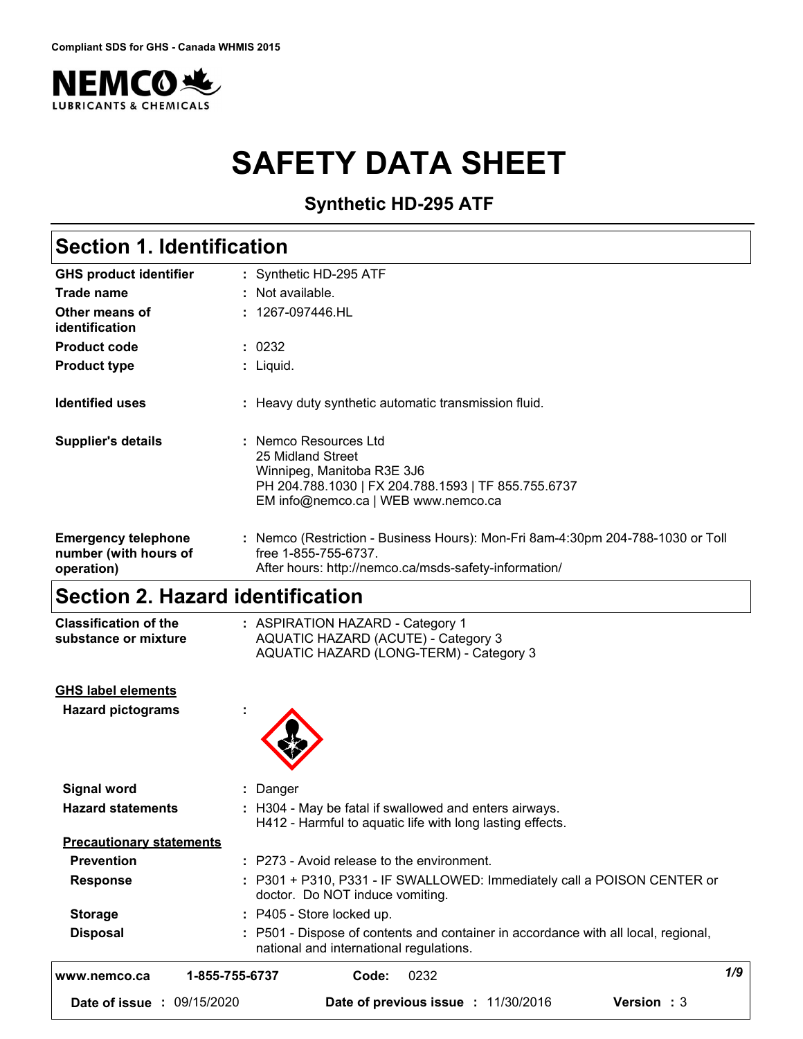

# **SAFETY DATA SHEET**

**Synthetic HD-295 ATF**

# **Section 1. Identification**

| <b>GHS product identifier</b>                                     | : Synthetic HD-295 ATF                                                                                                                                                 |
|-------------------------------------------------------------------|------------------------------------------------------------------------------------------------------------------------------------------------------------------------|
| Trade name                                                        | $\therefore$ Not available.                                                                                                                                            |
| Other means of<br>identification                                  | : 1267-097446.HL                                                                                                                                                       |
| <b>Product code</b>                                               | : 0232                                                                                                                                                                 |
| <b>Product type</b>                                               | : Liquid.                                                                                                                                                              |
| <b>Identified uses</b>                                            | : Heavy duty synthetic automatic transmission fluid.                                                                                                                   |
| <b>Supplier's details</b>                                         | : Nemco Resources Ltd<br>25 Midland Street<br>Winnipeg, Manitoba R3E 3J6<br>PH 204.788.1030   FX 204.788.1593   TF 855.755.6737<br>EM info@nemco.ca   WEB www.nemco.ca |
| <b>Emergency telephone</b><br>number (with hours of<br>operation) | : Nemco (Restriction - Business Hours): Mon-Fri 8am-4:30pm 204-788-1030 or Toll<br>free 1-855-755-6737.<br>After hours: http://nemco.ca/msds-safety-information/       |

# **Section 2. Hazard identification**

| <b>Classification of the</b>    | : ASPIRATION HAZARD - Category 1                                                                                              |
|---------------------------------|-------------------------------------------------------------------------------------------------------------------------------|
| substance or mixture            | AQUATIC HAZARD (ACUTE) - Category 3<br>AQUATIC HAZARD (LONG-TERM) - Category 3                                                |
| <b>GHS label elements</b>       |                                                                                                                               |
| <b>Hazard pictograms</b>        |                                                                                                                               |
| <b>Signal word</b>              | : Danger                                                                                                                      |
| <b>Hazard statements</b>        | : H304 - May be fatal if swallowed and enters airways.<br>H412 - Harmful to aquatic life with long lasting effects.           |
| <b>Precautionary statements</b> |                                                                                                                               |
| <b>Prevention</b>               | : P273 - Avoid release to the environment.                                                                                    |
| <b>Response</b>                 | : P301 + P310, P331 - IF SWALLOWED: Immediately call a POISON CENTER or<br>doctor. Do NOT induce vomiting.                    |
| <b>Storage</b>                  | : P405 - Store locked up.                                                                                                     |
| <b>Disposal</b>                 | : P501 - Dispose of contents and container in accordance with all local, regional,<br>national and international regulations. |
| www.nemco.ca                    | 1/9<br>0232<br>1-855-755-6737<br>Code:                                                                                        |
| Date of issue : 09/15/2020      | Date of previous issue : 11/30/2016<br><b>Version</b> : 3                                                                     |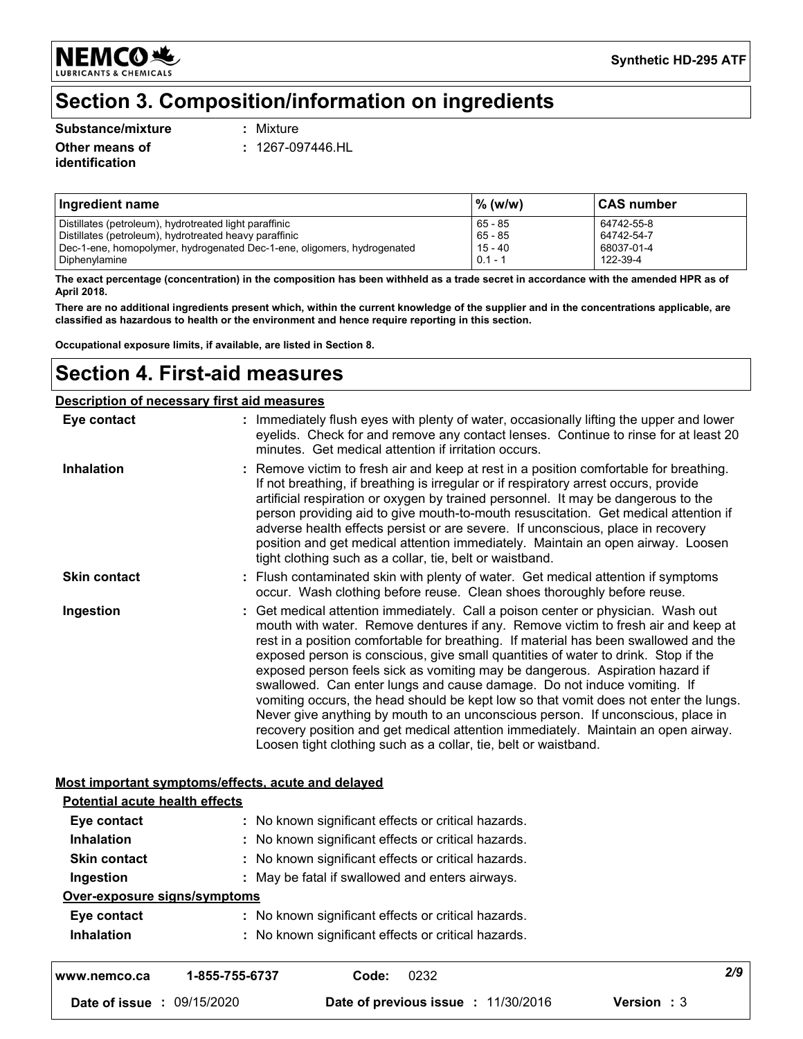**NEMCO头 LUBRICANTS & CHEMICALS** 

# **Section 3. Composition/information on ingredients**

#### **Substance/mixture :**

Mixture

**Other means of identification**

**:** 1267-097446.HL

| Ingredient name                                                                                                  | % (w/w)            | <b>CAS number</b>        |
|------------------------------------------------------------------------------------------------------------------|--------------------|--------------------------|
| Distillates (petroleum), hydrotreated light paraffinic<br>Distillates (petroleum), hydrotreated heavy paraffinic | 65 - 85<br>65 - 85 | 64742-55-8<br>64742-54-7 |
| Dec-1-ene, homopolymer, hydrogenated Dec-1-ene, oligomers, hydrogenated                                          | 15 - 40            | 68037-01-4               |
| Diphenylamine                                                                                                    | $0.1 - 1$          | 122-39-4                 |

**The exact percentage (concentration) in the composition has been withheld as a trade secret in accordance with the amended HPR as of April 2018.**

**There are no additional ingredients present which, within the current knowledge of the supplier and in the concentrations applicable, are classified as hazardous to health or the environment and hence require reporting in this section.**

**Occupational exposure limits, if available, are listed in Section 8.**

### **Section 4. First-aid measures**

#### **Description of necessary first aid measures**

| Eye contact                           | : Immediately flush eyes with plenty of water, occasionally lifting the upper and lower<br>eyelids. Check for and remove any contact lenses. Continue to rinse for at least 20<br>minutes. Get medical attention if irritation occurs.                                                                                                                                                                                                                                                                                                                                                                                                                                                                                                                                                                                                          |
|---------------------------------------|-------------------------------------------------------------------------------------------------------------------------------------------------------------------------------------------------------------------------------------------------------------------------------------------------------------------------------------------------------------------------------------------------------------------------------------------------------------------------------------------------------------------------------------------------------------------------------------------------------------------------------------------------------------------------------------------------------------------------------------------------------------------------------------------------------------------------------------------------|
| <b>Inhalation</b>                     | Remove victim to fresh air and keep at rest in a position comfortable for breathing.<br>If not breathing, if breathing is irregular or if respiratory arrest occurs, provide<br>artificial respiration or oxygen by trained personnel. It may be dangerous to the<br>person providing aid to give mouth-to-mouth resuscitation. Get medical attention if<br>adverse health effects persist or are severe. If unconscious, place in recovery<br>position and get medical attention immediately. Maintain an open airway. Loosen<br>tight clothing such as a collar, tie, belt or waistband.                                                                                                                                                                                                                                                      |
| <b>Skin contact</b>                   | : Flush contaminated skin with plenty of water. Get medical attention if symptoms<br>occur. Wash clothing before reuse. Clean shoes thoroughly before reuse.                                                                                                                                                                                                                                                                                                                                                                                                                                                                                                                                                                                                                                                                                    |
| Ingestion                             | : Get medical attention immediately. Call a poison center or physician. Wash out<br>mouth with water. Remove dentures if any. Remove victim to fresh air and keep at<br>rest in a position comfortable for breathing. If material has been swallowed and the<br>exposed person is conscious, give small quantities of water to drink. Stop if the<br>exposed person feels sick as vomiting may be dangerous. Aspiration hazard if<br>swallowed. Can enter lungs and cause damage. Do not induce vomiting. If<br>vomiting occurs, the head should be kept low so that vomit does not enter the lungs.<br>Never give anything by mouth to an unconscious person. If unconscious, place in<br>recovery position and get medical attention immediately. Maintain an open airway.<br>Loosen tight clothing such as a collar, tie, belt or waistband. |
|                                       | Most important symptoms/effects, acute and delayed                                                                                                                                                                                                                                                                                                                                                                                                                                                                                                                                                                                                                                                                                                                                                                                              |
| <b>Potential acute health effects</b> |                                                                                                                                                                                                                                                                                                                                                                                                                                                                                                                                                                                                                                                                                                                                                                                                                                                 |
| Eye contact                           | : No known significant effects or critical hazards.                                                                                                                                                                                                                                                                                                                                                                                                                                                                                                                                                                                                                                                                                                                                                                                             |
| Inhalation                            | : No known significant effects or critical hazards.                                                                                                                                                                                                                                                                                                                                                                                                                                                                                                                                                                                                                                                                                                                                                                                             |
| <b>Skin contact</b>                   | : No known significant effects or critical hazards.                                                                                                                                                                                                                                                                                                                                                                                                                                                                                                                                                                                                                                                                                                                                                                                             |
| Ingestion                             | : May be fatal if swallowed and enters airways.                                                                                                                                                                                                                                                                                                                                                                                                                                                                                                                                                                                                                                                                                                                                                                                                 |
| Over-exposure signs/symptoms          |                                                                                                                                                                                                                                                                                                                                                                                                                                                                                                                                                                                                                                                                                                                                                                                                                                                 |
| Eye contact                           | : No known significant effects or critical hazards.                                                                                                                                                                                                                                                                                                                                                                                                                                                                                                                                                                                                                                                                                                                                                                                             |
| <b>Inhalation</b>                     | : No known significant effects or critical hazards.                                                                                                                                                                                                                                                                                                                                                                                                                                                                                                                                                                                                                                                                                                                                                                                             |
| www.nemco.ca                          | 2/9<br>1-855-755-6737<br>0232<br>Code:                                                                                                                                                                                                                                                                                                                                                                                                                                                                                                                                                                                                                                                                                                                                                                                                          |
| Date of issue : 09/15/2020            | Date of previous issue : 11/30/2016<br><b>Version: 3</b>                                                                                                                                                                                                                                                                                                                                                                                                                                                                                                                                                                                                                                                                                                                                                                                        |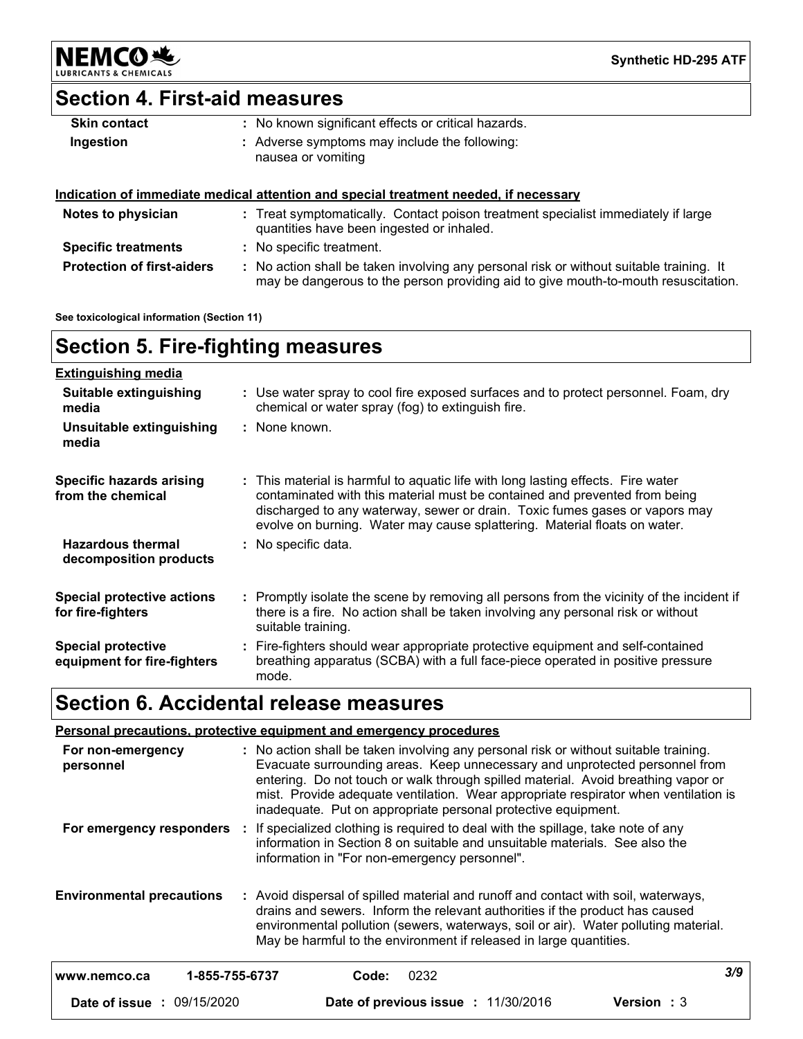**NEMCO头** LUBRIC

**Synthetic HD-295 ATF**

# **Section 4. First-aid measures**

| <b>Skin contact</b> | : No known significant effects or critical hazards.                 |
|---------------------|---------------------------------------------------------------------|
| Ingestion           | : Adverse symptoms may include the following:<br>nausea or vomiting |

#### **Indication of immediate medical attention and special treatment needed, if necessary**

| Notes to physician                | : Treat symptomatically. Contact poison treatment specialist immediately if large<br>quantities have been ingested or inhaled.                                              |
|-----------------------------------|-----------------------------------------------------------------------------------------------------------------------------------------------------------------------------|
| <b>Specific treatments</b>        | : No specific treatment.                                                                                                                                                    |
| <b>Protection of first-aiders</b> | No action shall be taken involving any personal risk or without suitable training. It<br>may be dangerous to the person providing aid to give mouth-to-mouth resuscitation. |

**See toxicological information (Section 11)**

# **Section 5. Fire-fighting measures**

| <b>Extinguishing media</b>                               |                                                                                                                                                                                                                                                                                                                            |
|----------------------------------------------------------|----------------------------------------------------------------------------------------------------------------------------------------------------------------------------------------------------------------------------------------------------------------------------------------------------------------------------|
| Suitable extinguishing<br>media                          | : Use water spray to cool fire exposed surfaces and to protect personnel. Foam, dry<br>chemical or water spray (fog) to extinguish fire.                                                                                                                                                                                   |
| Unsuitable extinguishing<br>media                        | : None known.                                                                                                                                                                                                                                                                                                              |
| Specific hazards arising<br>from the chemical            | : This material is harmful to aquatic life with long lasting effects. Fire water<br>contaminated with this material must be contained and prevented from being<br>discharged to any waterway, sewer or drain. Toxic fumes gases or vapors may<br>evolve on burning. Water may cause splattering. Material floats on water. |
| <b>Hazardous thermal</b><br>decomposition products       | : No specific data.                                                                                                                                                                                                                                                                                                        |
| Special protective actions<br>for fire-fighters          | : Promptly isolate the scene by removing all persons from the vicinity of the incident if<br>there is a fire. No action shall be taken involving any personal risk or without<br>suitable training.                                                                                                                        |
| <b>Special protective</b><br>equipment for fire-fighters | : Fire-fighters should wear appropriate protective equipment and self-contained<br>breathing apparatus (SCBA) with a full face-piece operated in positive pressure<br>mode.                                                                                                                                                |

# **Section 6. Accidental release measures**

|                                   | <b>Personal precautions, protective equipment and emergency procedures</b>                                                                                                                                                                                                                                                                                                                                       |     |
|-----------------------------------|------------------------------------------------------------------------------------------------------------------------------------------------------------------------------------------------------------------------------------------------------------------------------------------------------------------------------------------------------------------------------------------------------------------|-----|
| For non-emergency<br>personnel    | : No action shall be taken involving any personal risk or without suitable training.<br>Evacuate surrounding areas. Keep unnecessary and unprotected personnel from<br>entering. Do not touch or walk through spilled material. Avoid breathing vapor or<br>mist. Provide adequate ventilation. Wear appropriate respirator when ventilation is<br>inadequate. Put on appropriate personal protective equipment. |     |
| For emergency responders          | : If specialized clothing is required to deal with the spillage, take note of any<br>information in Section 8 on suitable and unsuitable materials. See also the<br>information in "For non-emergency personnel".                                                                                                                                                                                                |     |
| <b>Environmental precautions</b>  | : Avoid dispersal of spilled material and runoff and contact with soil, waterways,<br>drains and sewers. Inform the relevant authorities if the product has caused<br>environmental pollution (sewers, waterways, soil or air). Water polluting material.<br>May be harmful to the environment if released in large quantities.                                                                                  |     |
| 1-855-755-6737<br>www.nemco.ca    | 0232<br>Code:                                                                                                                                                                                                                                                                                                                                                                                                    | 3/9 |
| <b>Date of issue : 09/15/2020</b> | Date of previous issue : 11/30/2016<br><b>Version</b> : 3                                                                                                                                                                                                                                                                                                                                                        |     |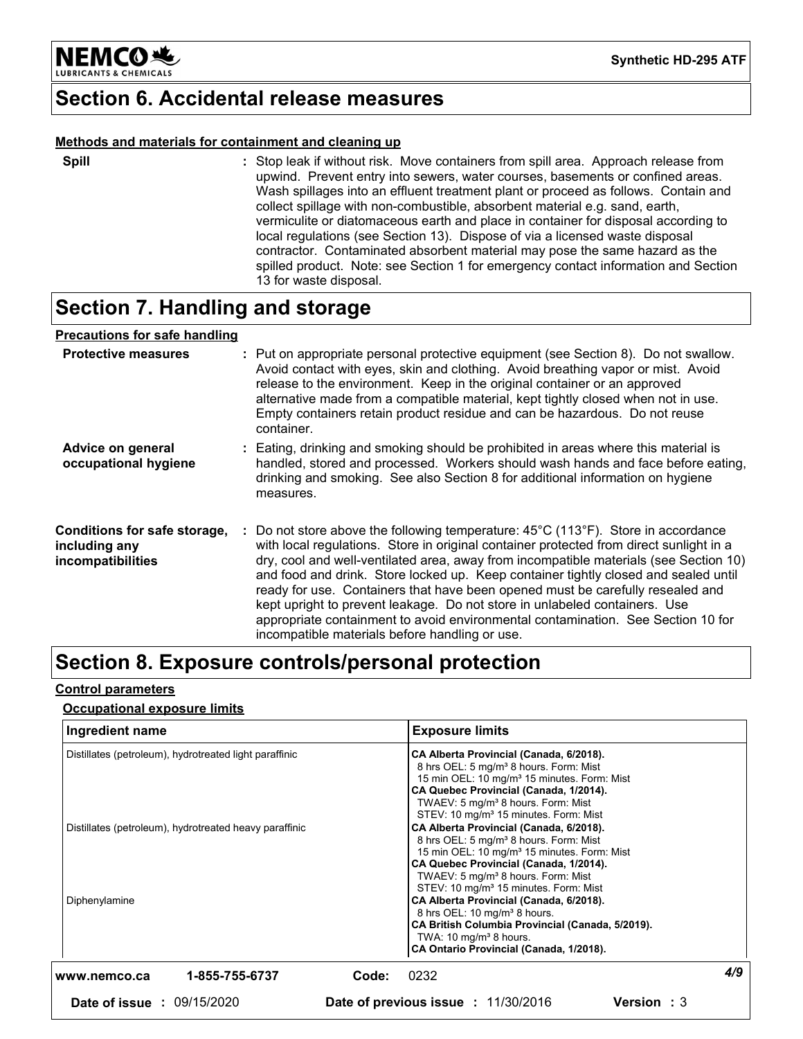

### **Section 6. Accidental release measures**

#### **Methods and materials for containment and cleaning up**

| ×<br>۰.<br>I |
|--------------|
|--------------|

**Spill** Stop leak if without risk. Move containers from spill area. Approach release from **:** upwind. Prevent entry into sewers, water courses, basements or confined areas. Wash spillages into an effluent treatment plant or proceed as follows. Contain and collect spillage with non-combustible, absorbent material e.g. sand, earth, vermiculite or diatomaceous earth and place in container for disposal according to local regulations (see Section 13). Dispose of via a licensed waste disposal contractor. Contaminated absorbent material may pose the same hazard as the spilled product. Note: see Section 1 for emergency contact information and Section 13 for waste disposal.

### **Section 7. Handling and storage**

#### **Precautions for safe handling**

| <b>Protective measures</b>                                         | : Put on appropriate personal protective equipment (see Section 8). Do not swallow.<br>Avoid contact with eyes, skin and clothing. Avoid breathing vapor or mist. Avoid<br>release to the environment. Keep in the original container or an approved<br>alternative made from a compatible material, kept tightly closed when not in use.<br>Empty containers retain product residue and can be hazardous. Do not reuse<br>container.                                                                                                                                                                                                                                        |
|--------------------------------------------------------------------|------------------------------------------------------------------------------------------------------------------------------------------------------------------------------------------------------------------------------------------------------------------------------------------------------------------------------------------------------------------------------------------------------------------------------------------------------------------------------------------------------------------------------------------------------------------------------------------------------------------------------------------------------------------------------|
| Advice on general<br>occupational hygiene                          | : Eating, drinking and smoking should be prohibited in areas where this material is<br>handled, stored and processed. Workers should wash hands and face before eating,<br>drinking and smoking. See also Section 8 for additional information on hygiene<br>measures.                                                                                                                                                                                                                                                                                                                                                                                                       |
| Conditions for safe storage,<br>including any<br>incompatibilities | : Do not store above the following temperature: $45^{\circ}$ C (113°F). Store in accordance<br>with local regulations. Store in original container protected from direct sunlight in a<br>dry, cool and well-ventilated area, away from incompatible materials (see Section 10)<br>and food and drink. Store locked up. Keep container tightly closed and sealed until<br>ready for use. Containers that have been opened must be carefully resealed and<br>kept upright to prevent leakage. Do not store in unlabeled containers. Use<br>appropriate containment to avoid environmental contamination. See Section 10 for<br>incompatible materials before handling or use. |

### **Section 8. Exposure controls/personal protection**

#### **Control parameters**

#### **Occupational exposure limits**

| Ingredient name                                                         |                                     | <b>Exposure limits</b>                                                                                                                                                                                                                                                                                                                                                                                                                                                                                                               |     |
|-------------------------------------------------------------------------|-------------------------------------|--------------------------------------------------------------------------------------------------------------------------------------------------------------------------------------------------------------------------------------------------------------------------------------------------------------------------------------------------------------------------------------------------------------------------------------------------------------------------------------------------------------------------------------|-----|
| Distillates (petroleum), hydrotreated light paraffinic                  |                                     | CA Alberta Provincial (Canada, 6/2018).<br>8 hrs OEL: 5 mg/m <sup>3</sup> 8 hours. Form: Mist<br>15 min OEL: 10 mg/m <sup>3</sup> 15 minutes. Form: Mist<br>CA Quebec Provincial (Canada, 1/2014).<br>TWAEV: 5 mg/m <sup>3</sup> 8 hours. Form: Mist<br>STEV: 10 mg/m <sup>3</sup> 15 minutes. Form: Mist                                                                                                                                                                                                                            |     |
| Distillates (petroleum), hydrotreated heavy paraffinic<br>Diphenylamine |                                     | CA Alberta Provincial (Canada, 6/2018).<br>8 hrs OEL: 5 mg/m <sup>3</sup> 8 hours. Form: Mist<br>15 min OEL: 10 mg/m <sup>3</sup> 15 minutes. Form: Mist<br>CA Quebec Provincial (Canada, 1/2014).<br>TWAEV: 5 mg/m <sup>3</sup> 8 hours. Form: Mist<br>STEV: 10 mg/m <sup>3</sup> 15 minutes. Form: Mist<br>CA Alberta Provincial (Canada, 6/2018).<br>8 hrs OEL: 10 mg/m <sup>3</sup> 8 hours.<br>CA British Columbia Provincial (Canada, 5/2019).<br>TWA: $10 \text{ mg/m}^3$ 8 hours.<br>CA Ontario Provincial (Canada, 1/2018). |     |
| 1-855-755-6737<br>www.nemco.ca                                          | 0232<br>Code:                       |                                                                                                                                                                                                                                                                                                                                                                                                                                                                                                                                      | 4/9 |
| <b>Date of issue : 09/15/2020</b>                                       | Date of previous issue : 11/30/2016 | <b>Version</b> : 3                                                                                                                                                                                                                                                                                                                                                                                                                                                                                                                   |     |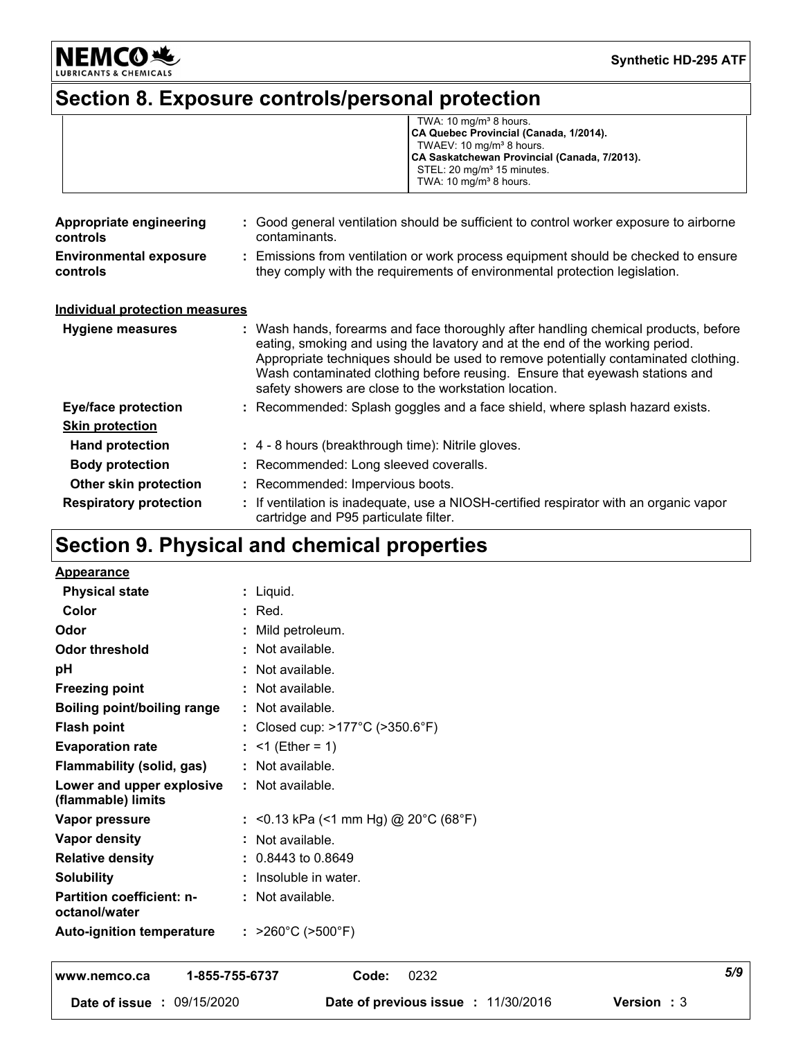

**Synthetic HD-295 ATF**

# **Section 8. Exposure controls/personal protection**

|                                           | TWA: $10 \text{ mg/m}^3$ 8 hours.<br>CA Quebec Provincial (Canada, 1/2014).<br>TWAEV: 10 mg/m <sup>3</sup> 8 hours.<br>CA Saskatchewan Provincial (Canada, 7/2013).<br>STEL: 20 mg/m <sup>3</sup> 15 minutes.<br>TWA: $10 \text{ mg/m}^3$ 8 hours.                                                                                                                                                |  |
|-------------------------------------------|---------------------------------------------------------------------------------------------------------------------------------------------------------------------------------------------------------------------------------------------------------------------------------------------------------------------------------------------------------------------------------------------------|--|
| Appropriate engineering<br>controls       | : Good general ventilation should be sufficient to control worker exposure to airborne<br>contaminants.                                                                                                                                                                                                                                                                                           |  |
| <b>Environmental exposure</b><br>controls | : Emissions from ventilation or work process equipment should be checked to ensure<br>they comply with the requirements of environmental protection legislation.                                                                                                                                                                                                                                  |  |
| <b>Individual protection measures</b>     |                                                                                                                                                                                                                                                                                                                                                                                                   |  |
| Hygiene measures                          | : Wash hands, forearms and face thoroughly after handling chemical products, before<br>eating, smoking and using the lavatory and at the end of the working period.<br>Appropriate techniques should be used to remove potentially contaminated clothing.<br>Wash contaminated clothing before reusing. Ensure that eyewash stations and<br>safety showers are close to the workstation location. |  |
| <b>Eye/face protection</b>                | : Recommended: Splash goggles and a face shield, where splash hazard exists.                                                                                                                                                                                                                                                                                                                      |  |
| <b>Skin protection</b>                    |                                                                                                                                                                                                                                                                                                                                                                                                   |  |
| <b>Hand protection</b>                    | : 4 - 8 hours (breakthrough time): Nitrile gloves.                                                                                                                                                                                                                                                                                                                                                |  |
| <b>Body protection</b>                    | : Recommended: Long sleeved coveralls.                                                                                                                                                                                                                                                                                                                                                            |  |
| Other skin protection                     | : Recommended: Impervious boots.                                                                                                                                                                                                                                                                                                                                                                  |  |
| <b>Respiratory protection</b>             | : If ventilation is inadequate, use a NIOSH-certified respirator with an organic vapor<br>cartridge and P95 particulate filter.                                                                                                                                                                                                                                                                   |  |

# **Section 9. Physical and chemical properties**

| <b>Appearance</b>                               |                                                      |
|-------------------------------------------------|------------------------------------------------------|
| <b>Physical state</b>                           | : Liquid.                                            |
| Color                                           | $:$ Red.                                             |
| Odor                                            | : Mild petroleum.                                    |
| <b>Odor threshold</b>                           | : Not available.                                     |
| рH                                              | : Not available.                                     |
| <b>Freezing point</b>                           | $\therefore$ Not available.                          |
| <b>Boiling point/boiling range</b>              | $\therefore$ Not available.                          |
| <b>Flash point</b>                              | : Closed cup: $>177^{\circ}$ C ( $>350.6^{\circ}$ F) |
| <b>Evaporation rate</b>                         | : <1 (Ether = 1)                                     |
| Flammability (solid, gas)                       | : Not available.                                     |
| Lower and upper explosive<br>(flammable) limits | : Not available.                                     |
| Vapor pressure                                  | : <0.13 kPa (<1 mm Hg) @ 20°C (68°F)                 |
| <b>Vapor density</b>                            | $:$ Not available.                                   |
| <b>Relative density</b>                         | $: 0.8443$ to 0.8649                                 |
| <b>Solubility</b>                               | $:$ Insoluble in water.                              |
| Partition coefficient: n-<br>octanol/water      | $\therefore$ Not available.                          |
| Auto-ignition temperature                       | : $>260^{\circ}$ C ( $>500^{\circ}$ F)               |

# **www.nemco.ca 1-855-755-6737 Code:** *5/9* 0232 **Date of issue :** 09/15/2020 **Date of previous issue :** 11/30/2016 **Version :** 3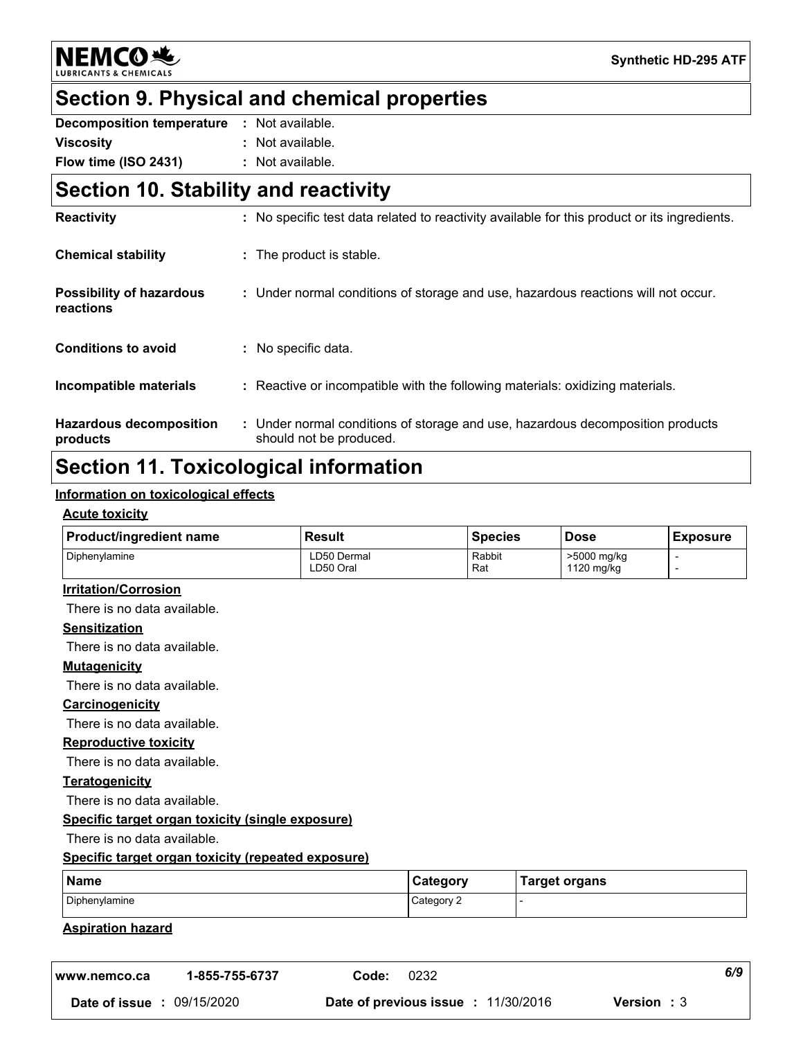**NEMCO头** 

## **Section 9. Physical and chemical properties**

| <b>Decomposition temperature</b> | : Not available. |
|----------------------------------|------------------|
| <b>Viscosity</b>                 | : Not available. |
| Flow time (ISO 2431)             | : Not available. |

## **Section 10. Stability and reactivity**

| <b>Reactivity</b>                            | : No specific test data related to reactivity available for this product or its ingredients.              |
|----------------------------------------------|-----------------------------------------------------------------------------------------------------------|
| <b>Chemical stability</b>                    | : The product is stable.                                                                                  |
| <b>Possibility of hazardous</b><br>reactions | : Under normal conditions of storage and use, hazardous reactions will not occur.                         |
| <b>Conditions to avoid</b>                   | : No specific data.                                                                                       |
| Incompatible materials                       | : Reactive or incompatible with the following materials: oxidizing materials.                             |
| <b>Hazardous decomposition</b><br>products   | : Under normal conditions of storage and use, hazardous decomposition products<br>should not be produced. |

### **Section 11. Toxicological information**

#### **Information on toxicological effects**

#### **Acute toxicity**

| <b>Product/ingredient name</b> | Result                   | l Species     | <b>Dose</b>               | <b>Exposure</b> |
|--------------------------------|--------------------------|---------------|---------------------------|-----------------|
| <b>Diphenvlamine</b>           | LD50 Dermal<br>LD50 Oral | Rabbit<br>Rat | >5000 mg/kg<br>1120 mg/kg |                 |

#### **Irritation/Corrosion**

There is no data available.

#### **Sensitization**

There is no data available.

#### **Mutagenicity**

There is no data available.

#### **Carcinogenicity**

There is no data available.

#### **Reproductive toxicity**

There is no data available.

#### **Teratogenicity**

There is no data available.

#### **Specific target organ toxicity (single exposure)**

There is no data available.

#### **Specific target organ toxicity (repeated exposure)**

| Name          | ان Category | <b>Farget organs</b> |
|---------------|-------------|----------------------|
| Diphenylamine | Category 2  |                      |

#### **Aspiration hazard**

| www.nemco.ca  | 1-855-755-6737 | Code: | 0232                                       |                    | 6/9 |
|---------------|----------------|-------|--------------------------------------------|--------------------|-----|
| Date of issue | : 09/15/2020   |       | <b>Date of previous issue : 11/30/2016</b> | <b>Version</b> : 3 |     |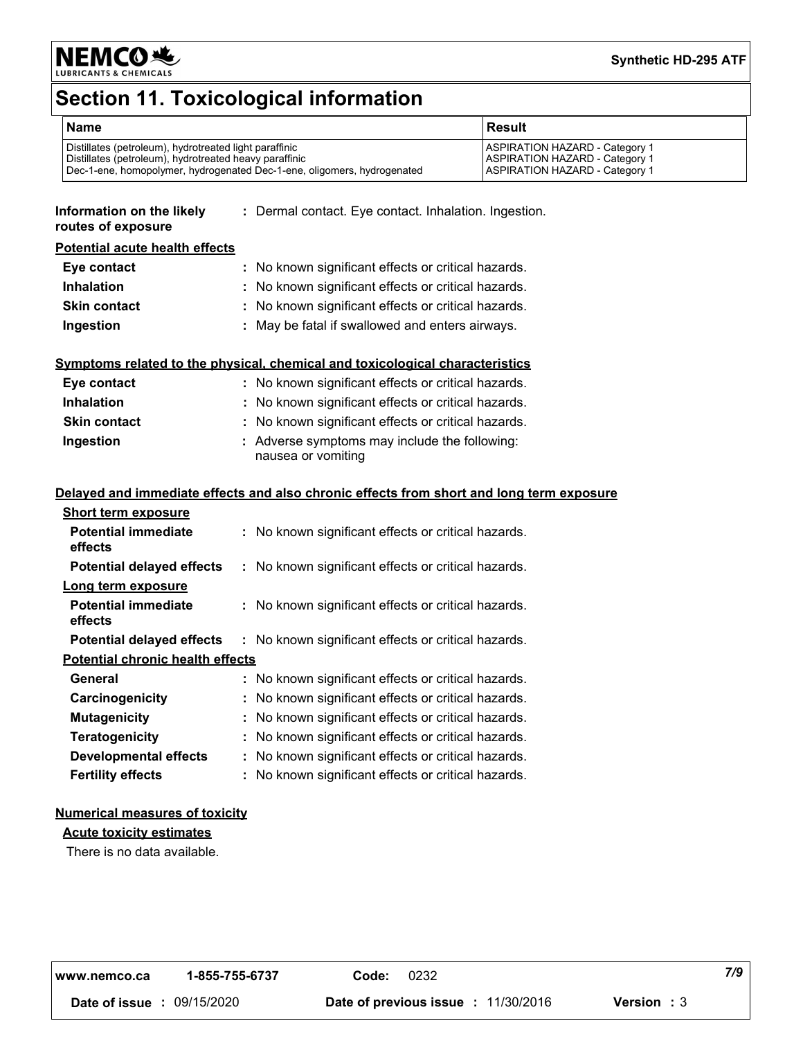

# **Section 11. Toxicological information**

| <b>Name</b>                                                             | <b>Result</b>                         |
|-------------------------------------------------------------------------|---------------------------------------|
| Distillates (petroleum), hydrotreated light paraffinic                  | <b>ASPIRATION HAZARD - Category 1</b> |
| Distillates (petroleum), hydrotreated heavy paraffinic                  | <b>ASPIRATION HAZARD - Category 1</b> |
| Dec-1-ene, homopolymer, hydrogenated Dec-1-ene, oligomers, hydrogenated | <b>ASPIRATION HAZARD - Category 1</b> |

#### **Information on the likely routes of exposure :** Dermal contact. Eye contact. Inhalation. Ingestion.

#### **Potential acute health effects**

| Eye contact         | : No known significant effects or critical hazards. |
|---------------------|-----------------------------------------------------|
| <b>Inhalation</b>   | : No known significant effects or critical hazards. |
| <b>Skin contact</b> | : No known significant effects or critical hazards. |
| Ingestion           | : May be fatal if swallowed and enters airways.     |

#### **Symptoms related to the physical, chemical and toxicological characteristics**

| Eye contact         | : No known significant effects or critical hazards.                 |
|---------------------|---------------------------------------------------------------------|
| <b>Inhalation</b>   | : No known significant effects or critical hazards.                 |
| <b>Skin contact</b> | : No known significant effects or critical hazards.                 |
| Ingestion           | : Adverse symptoms may include the following:<br>nausea or vomiting |

#### **Delayed and immediate effects and also chronic effects from short and long term exposure**

| <b>Short term exposure</b>              |                                                     |
|-----------------------------------------|-----------------------------------------------------|
| <b>Potential immediate</b><br>effects   | : No known significant effects or critical hazards. |
| <b>Potential delayed effects</b>        | : No known significant effects or critical hazards. |
| Long term exposure                      |                                                     |
| <b>Potential immediate</b><br>effects   | : No known significant effects or critical hazards. |
| <b>Potential delayed effects</b>        | : No known significant effects or critical hazards. |
| <b>Potential chronic health effects</b> |                                                     |
| General                                 | : No known significant effects or critical hazards. |
| Carcinogenicity                         | : No known significant effects or critical hazards. |
| <b>Mutagenicity</b>                     | : No known significant effects or critical hazards. |
| Teratogenicity                          | : No known significant effects or critical hazards. |
| <b>Developmental effects</b>            | : No known significant effects or critical hazards. |
| <b>Fertility effects</b>                | : No known significant effects or critical hazards. |

#### **Numerical measures of toxicity**

#### **Acute toxicity estimates**

There is no data available.

| www.nemco.ca | 1-855-755-6737 | Code: | 0232 | 7/9 |  |  |
|--------------|----------------|-------|------|-----|--|--|
|--------------|----------------|-------|------|-----|--|--|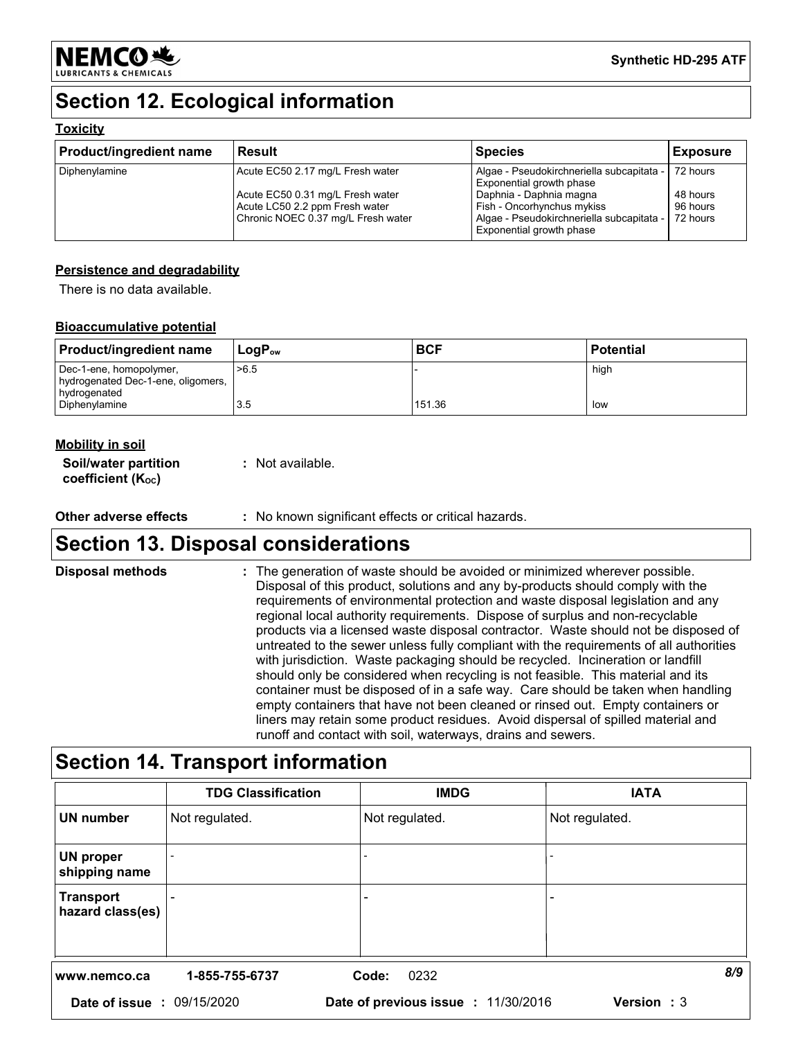

# **Section 12. Ecological information**

#### **Toxicity**

| <b>Product/ingredient name</b> | <b>Result</b>                                                      | <b>Species</b>                                                        | <b>Exposure</b>      |
|--------------------------------|--------------------------------------------------------------------|-----------------------------------------------------------------------|----------------------|
| Diphenylamine                  | Acute EC50 2.17 mg/L Fresh water                                   | Algae - Pseudokirchneriella subcapitata -<br>Exponential growth phase | 72 hours             |
|                                | Acute EC50 0.31 mg/L Fresh water<br>Acute LC50 2.2 ppm Fresh water | Daphnia - Daphnia magna<br>Fish - Oncorhynchus mykiss                 | 48 hours<br>96 hours |
|                                | Chronic NOEC 0.37 mg/L Fresh water                                 | Algae - Pseudokirchneriella subcapitata -<br>Exponential growth phase | 72 hours             |

#### **Persistence and degradability**

There is no data available.

#### **Bioaccumulative potential**

| <b>Product/ingredient name</b>                                | LogP <sub>ow</sub> | <b>BCF</b> | <b>Potential</b> |
|---------------------------------------------------------------|--------------------|------------|------------------|
| Dec-1-ene, homopolymer,<br>hydrogenated Dec-1-ene, oligomers, | >6.5               |            | high             |
| hydrogenated<br>Diphenylamine                                 | 3.5                | 151.36     | low              |

#### **Mobility in soil**

| Soil/water partition          | : Not available. |
|-------------------------------|------------------|
| coefficient $(K_{\text{oc}})$ |                  |

**Other adverse effects :** No known significant effects or critical hazards.

## **Section 13. Disposal considerations**

| <b>Disposal methods</b> | : The generation of waste should be avoided or minimized wherever possible.<br>Disposal of this product, solutions and any by-products should comply with the<br>requirements of environmental protection and waste disposal legislation and any<br>regional local authority requirements. Dispose of surplus and non-recyclable<br>products via a licensed waste disposal contractor. Waste should not be disposed of<br>untreated to the sewer unless fully compliant with the requirements of all authorities |
|-------------------------|------------------------------------------------------------------------------------------------------------------------------------------------------------------------------------------------------------------------------------------------------------------------------------------------------------------------------------------------------------------------------------------------------------------------------------------------------------------------------------------------------------------|
|                         | with jurisdiction. Waste packaging should be recycled. Incineration or landfill<br>should only be considered when recycling is not feasible. This material and its<br>container must be disposed of in a safe way. Care should be taken when handling<br>empty containers that have not been cleaned or rinsed out. Empty containers or<br>liners may retain some product residues. Avoid dispersal of spilled material and<br>runoff and contact with soil, waterways, drains and sewers.                       |

# **Section 14. Transport information**

|                                      | <b>TDG Classification</b> | <b>IMDG</b>                         | <b>IATA</b>    |
|--------------------------------------|---------------------------|-------------------------------------|----------------|
| UN number                            | Not regulated.            | Not regulated.                      | Not regulated. |
| UN proper<br>shipping name           |                           |                                     |                |
| <b>Transport</b><br>hazard class(es) |                           |                                     | -              |
| www.nemco.ca                         | 1-855-755-6737            | Code:<br>0232                       | 8/9            |
| Date of issue: 09/15/2020            |                           | Date of previous issue : 11/30/2016 | Version: 3     |